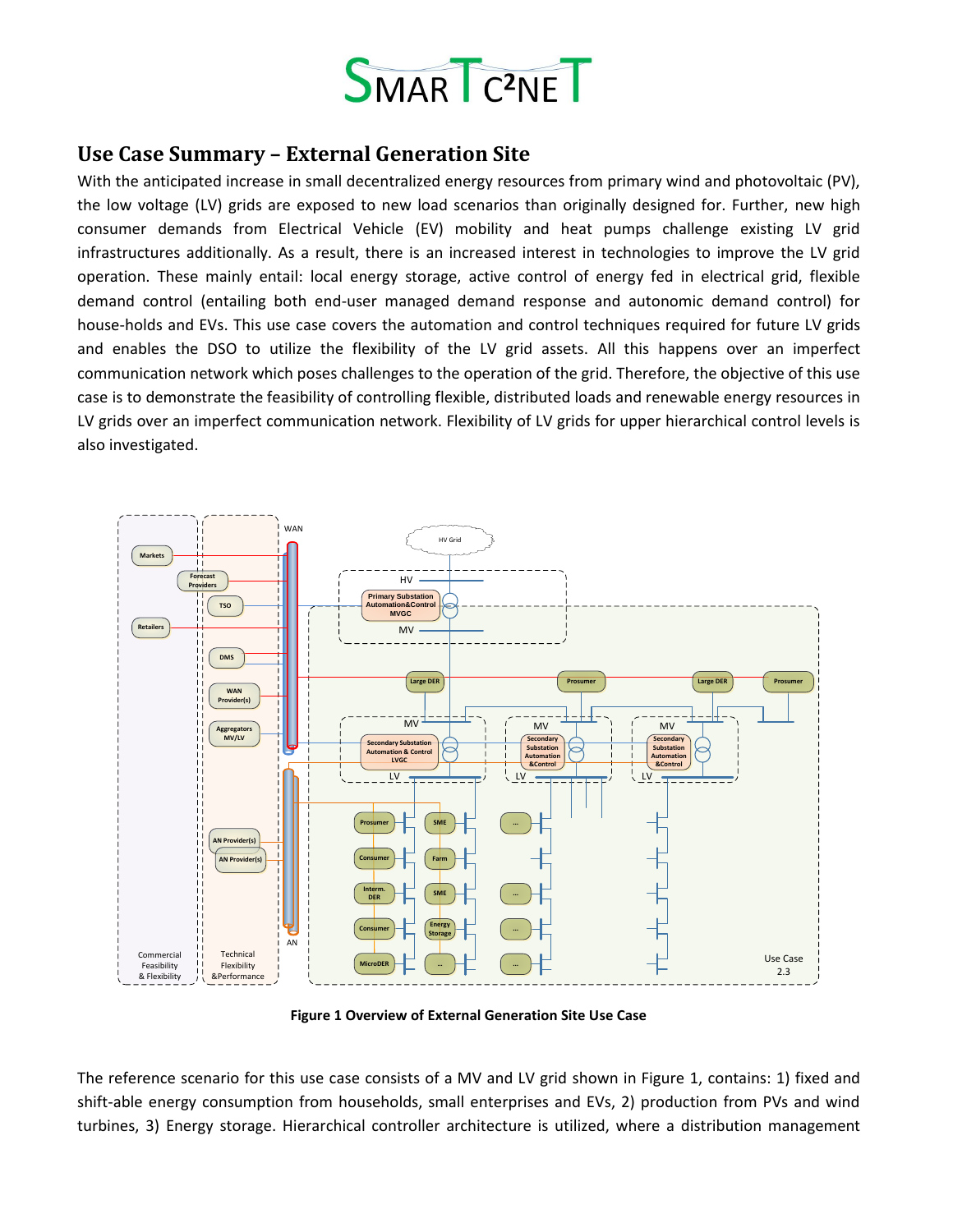

## **Use Case Summary – External Generation Site**

With the anticipated increase in small decentralized energy resources from primary wind and photovoltaic (PV), the low voltage (LV) grids are exposed to new load scenarios than originally designed for. Further, new high consumer demands from Electrical Vehicle (EV) mobility and heat pumps challenge existing LV grid infrastructures additionally. As a result, there is an increased interest in technologies to improve the LV grid operation. These mainly entail: local energy storage, active control of energy fed in electrical grid, flexible demand control (entailing both end-user managed demand response and autonomic demand control) for house-holds and EVs. This use case covers the automation and control techniques required for future LV grids and enables the DSO to utilize the flexibility of the LV grid assets. All this happens over an imperfect communication network which poses challenges to the operation of the grid. Therefore, the objective of this use case is to demonstrate the feasibility of controlling flexible, distributed loads and renewable energy resources in LV grids over an imperfect communication network. Flexibility of LV grids for upper hierarchical control levels is also investigated.



**Figure 1 Overview of External Generation Site Use Case**

<span id="page-0-0"></span>The reference scenario for this use case consists of a MV and LV grid shown in [Figure 1,](#page-0-0) contains: 1) fixed and shift-able energy consumption from households, small enterprises and EVs, 2) production from PVs and wind turbines, 3) Energy storage. Hierarchical controller architecture is utilized, where a distribution management